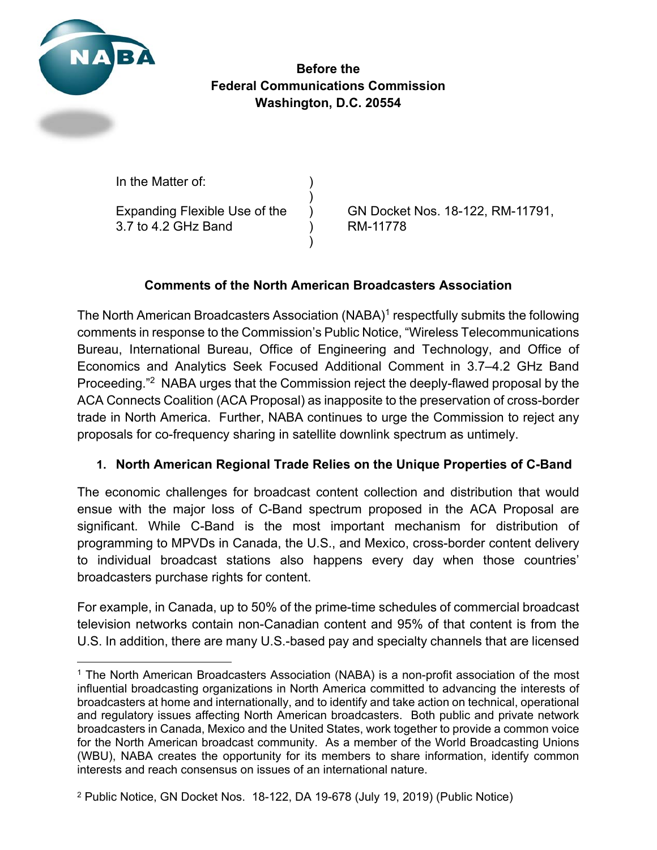

**Before the Federal Communications Commission Washington, D.C. 20554** 

In the Matter of:

 $)$ 3.7 to 4.2 GHz Band ) RM-11778

 $)$ 

Expanding Flexible Use of the ) GN Docket Nos. 18-122, RM-11791,

# **Comments of the North American Broadcasters Association**

The North American Broadcasters Association (NABA)<sup>1</sup> respectfully submits the following comments in response to the Commission's Public Notice, "Wireless Telecommunications Bureau, International Bureau, Office of Engineering and Technology, and Office of Economics and Analytics Seek Focused Additional Comment in 3.7–4.2 GHz Band Proceeding."2 NABA urges that the Commission reject the deeply-flawed proposal by the ACA Connects Coalition (ACA Proposal) as inapposite to the preservation of cross-border trade in North America. Further, NABA continues to urge the Commission to reject any proposals for co-frequency sharing in satellite downlink spectrum as untimely.

### **1. North American Regional Trade Relies on the Unique Properties of C-Band**

The economic challenges for broadcast content collection and distribution that would ensue with the major loss of C-Band spectrum proposed in the ACA Proposal are significant. While C-Band is the most important mechanism for distribution of programming to MPVDs in Canada, the U.S., and Mexico, cross-border content delivery to individual broadcast stations also happens every day when those countries' broadcasters purchase rights for content.

For example, in Canada, up to 50% of the prime-time schedules of commercial broadcast television networks contain non-Canadian content and 95% of that content is from the U.S. In addition, there are many U.S.-based pay and specialty channels that are licensed

<sup>1</sup> The North American Broadcasters Association (NABA) is a non-profit association of the most influential broadcasting organizations in North America committed to advancing the interests of broadcasters at home and internationally, and to identify and take action on technical, operational and regulatory issues affecting North American broadcasters. Both public and private network broadcasters in Canada, Mexico and the United States, work together to provide a common voice for the North American broadcast community. As a member of the World Broadcasting Unions (WBU), NABA creates the opportunity for its members to share information, identify common interests and reach consensus on issues of an international nature.

<sup>2</sup> Public Notice, GN Docket Nos. 18-122, DA 19-678 (July 19, 2019) (Public Notice)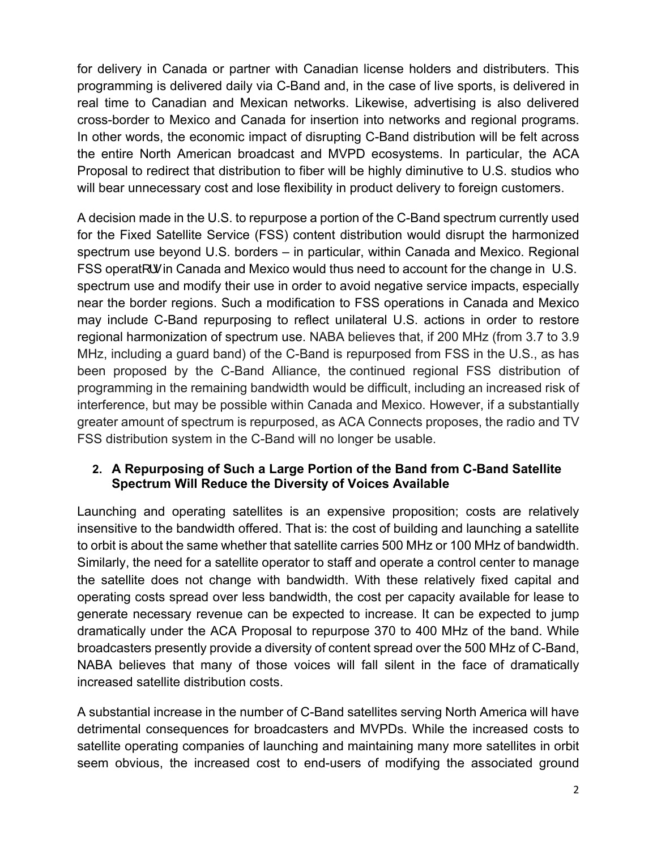for delivery in Canada or partner with Canadian license holders and distributers. This programming is delivered daily via C-Band and, in the case of live sports, is delivered in real time to Canadian and Mexican networks. Likewise, advertising is also delivered cross-border to Mexico and Canada for insertion into networks and regional programs. In other words, the economic impact of disrupting C-Band distribution will be felt across the entire North American broadcast and MVPD ecosystems. In particular, the ACA Proposal to redirect that distribution to fiber will be highly diminutive to U.S. studios who will bear unnecessary cost and lose flexibility in product delivery to foreign customers.

A decision made in the U.S. to repurpose a portion of the C-Band spectrum currently used for the Fixed Satellite Service (FSS) content distribution would disrupt the harmonized spectrum use beyond U.S. borders – in particular, within Canada and Mexico. Regional FSS operat  $\mathcal{V}$  in Canada and Mexico would thus need to account for the change in U.S. spectrum use and modify their use in order to avoid negative service impacts, especially near the border regions. Such a modification to FSS operations in Canada and Mexico may include C-Band repurposing to reflect unilateral U.S. actions in order to restore regional harmonization of spectrum use. NABA believes that, if 200 MHz (from 3.7 to 3.9 MHz, including a guard band) of the C-Band is repurposed from FSS in the U.S., as has been proposed by the C-Band Alliance, the continued regional FSS distribution of programming in the remaining bandwidth would be difficult, including an increased risk of interference, but may be possible within Canada and Mexico. However, if a substantially greater amount of spectrum is repurposed, as ACA Connects proposes, the radio and TV FSS distribution system in the C-Band will no longer be usable.

### **2. A Repurposing of Such a Large Portion of the Band from C-Band Satellite Spectrum Will Reduce the Diversity of Voices Available**

Launching and operating satellites is an expensive proposition; costs are relatively insensitive to the bandwidth offered. That is: the cost of building and launching a satellite to orbit is about the same whether that satellite carries 500 MHz or 100 MHz of bandwidth. Similarly, the need for a satellite operator to staff and operate a control center to manage the satellite does not change with bandwidth. With these relatively fixed capital and operating costs spread over less bandwidth, the cost per capacity available for lease to generate necessary revenue can be expected to increase. It can be expected to jump dramatically under the ACA Proposal to repurpose 370 to 400 MHz of the band. While broadcasters presently provide a diversity of content spread over the 500 MHz of C-Band, NABA believes that many of those voices will fall silent in the face of dramatically increased satellite distribution costs.

A substantial increase in the number of C-Band satellites serving North America will have detrimental consequences for broadcasters and MVPDs. While the increased costs to satellite operating companies of launching and maintaining many more satellites in orbit seem obvious, the increased cost to end-users of modifying the associated ground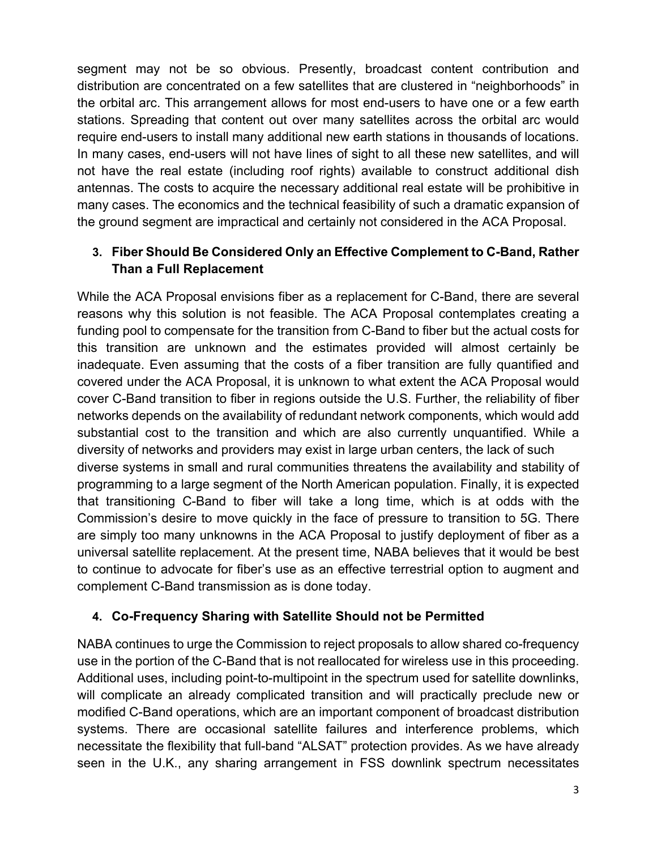segment may not be so obvious. Presently, broadcast content contribution and distribution are concentrated on a few satellites that are clustered in "neighborhoods" in the orbital arc. This arrangement allows for most end-users to have one or a few earth stations. Spreading that content out over many satellites across the orbital arc would require end-users to install many additional new earth stations in thousands of locations. In many cases, end-users will not have lines of sight to all these new satellites, and will not have the real estate (including roof rights) available to construct additional dish antennas. The costs to acquire the necessary additional real estate will be prohibitive in many cases. The economics and the technical feasibility of such a dramatic expansion of the ground segment are impractical and certainly not considered in the ACA Proposal.

# **3. Fiber Should Be Considered Only an Effective Complement to C-Band, Rather Than a Full Replacement**

While the ACA Proposal envisions fiber as a replacement for C-Band, there are several reasons why this solution is not feasible. The ACA Proposal contemplates creating a funding pool to compensate for the transition from C-Band to fiber but the actual costs for this transition are unknown and the estimates provided will almost certainly be inadequate. Even assuming that the costs of a fiber transition are fully quantified and covered under the ACA Proposal, it is unknown to what extent the ACA Proposal would cover C-Band transition to fiber in regions outside the U.S. Further, the reliability of fiber networks depends on the availability of redundant network components, which would add substantial cost to the transition and which are also currently unquantified. While a diversity of networks and providers may exist in large urban centers, the lack of such diverse systems in small and rural communities threatens the availability and stability of programming to a large segment of the North American population. Finally, it is expected that transitioning C-Band to fiber will take a long time, which is at odds with the Commission's desire to move quickly in the face of pressure to transition to 5G. There are simply too many unknowns in the ACA Proposal to justify deployment of fiber as a universal satellite replacement. At the present time, NABA believes that it would be best to continue to advocate for fiber's use as an effective terrestrial option to augment and complement C-Band transmission as is done today.

#### **4. Co-Frequency Sharing with Satellite Should not be Permitted**

NABA continues to urge the Commission to reject proposals to allow shared co-frequency use in the portion of the C-Band that is not reallocated for wireless use in this proceeding. Additional uses, including point-to-multipoint in the spectrum used for satellite downlinks, will complicate an already complicated transition and will practically preclude new or modified C-Band operations, which are an important component of broadcast distribution systems. There are occasional satellite failures and interference problems, which necessitate the flexibility that full-band "ALSAT" protection provides. As we have already seen in the U.K., any sharing arrangement in FSS downlink spectrum necessitates